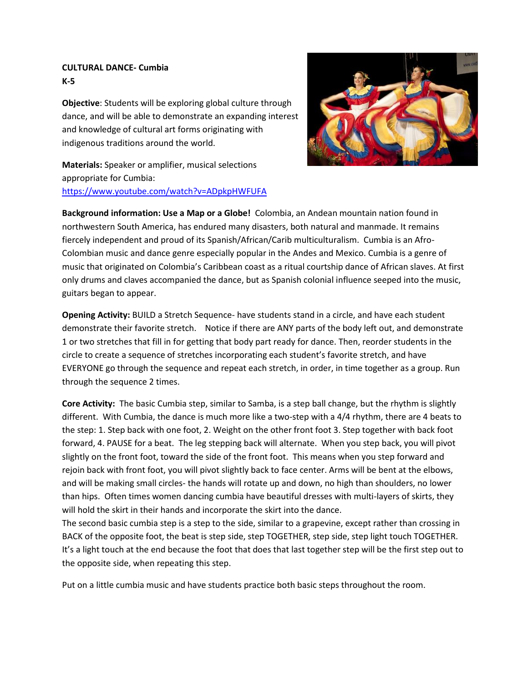## **CULTURAL DANCE- Cumbia K-5**

**Objective**: Students will be exploring global culture through dance, and will be able to demonstrate an expanding interest and knowledge of cultural art forms originating with indigenous traditions around the world.



**Materials:** Speaker or amplifier, musical selections appropriate for Cumbia: <https://www.youtube.com/watch?v=ADpkpHWFUFA>

**Background information: Use a Map or a Globe!** Colombia, an Andean mountain nation found in northwestern South America, has endured many disasters, both natural and manmade. It remains fiercely independent and proud of its Spanish/African/Carib multiculturalism. Cumbia is an Afro-Colombian music and dance genre especially popular in the Andes and Mexico. Cumbia is a genre of music that originated on Colombia's Caribbean coast as a ritual courtship dance of African slaves. At first only drums and claves accompanied the dance, but as Spanish colonial influence seeped into the music, guitars began to appear.

**Opening Activity:** BUILD a Stretch Sequence- have students stand in a circle, and have each student demonstrate their favorite stretch. Notice if there are ANY parts of the body left out, and demonstrate 1 or two stretches that fill in for getting that body part ready for dance. Then, reorder students in the circle to create a sequence of stretches incorporating each student's favorite stretch, and have EVERYONE go through the sequence and repeat each stretch, in order, in time together as a group. Run through the sequence 2 times.

**Core Activity:** The basic Cumbia step, similar to Samba, is a step ball change, but the rhythm is slightly different. With Cumbia, the dance is much more like a two-step with a 4/4 rhythm, there are 4 beats to the step: 1. Step back with one foot, 2. Weight on the other front foot 3. Step together with back foot forward, 4. PAUSE for a beat. The leg stepping back will alternate. When you step back, you will pivot slightly on the front foot, toward the side of the front foot. This means when you step forward and rejoin back with front foot, you will pivot slightly back to face center. Arms will be bent at the elbows, and will be making small circles- the hands will rotate up and down, no high than shoulders, no lower than hips. Often times women dancing cumbia have beautiful dresses with multi-layers of skirts, they will hold the skirt in their hands and incorporate the skirt into the dance.

The second basic cumbia step is a step to the side, similar to a grapevine, except rather than crossing in BACK of the opposite foot, the beat is step side, step TOGETHER, step side, step light touch TOGETHER. It's a light touch at the end because the foot that does that last together step will be the first step out to the opposite side, when repeating this step.

Put on a little cumbia music and have students practice both basic steps throughout the room.